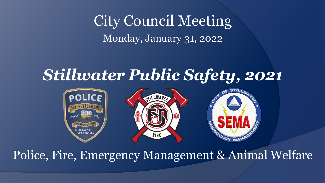### City Council Meeting Monday, January 31, 2022

### *Stillwater Public Safety, 2021*



### Police, Fire, Emergency Management & Animal Welfare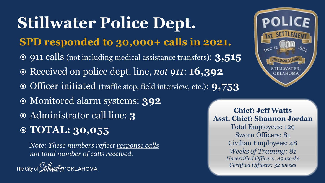## **Stillwater Police Dept.**

#### **SPD responded to 30,000+ calls in 2021.**

- 911 calls (not including medical assistance transfers): **3,515**
- Received on police dept. line, *not 911*: **16,392**
- Officer initiated (traffic stop, field interview, etc.): **9,753**
- Monitored alarm systems: **392**
- Administrator call line: **3**
- **TOTAL: 30,055**

*Note: These numbers reflect response calls not total number of calls received.*

The City of *Stillwater* OKLAHOMA



**Chief: Jeff Watts Asst. Chief: Shannon Jordan** Total Employees: 129 Sworn Officers: 81 Civilian Employees: 48 *Weeks of Training: 81 Uncertified Officers: 49 weeks Certified Officers: 32 weeks*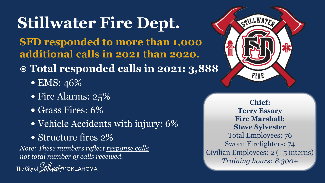## **Stillwater Fire Dept.**

#### **SFD responded to more than 1,000 additional calls in 2021 than 2020.**

### **Total responded calls in 2021: 3,888**

- EMS: 46%
- Fire Alarms: 25%
- Grass Fires: 6%
- Vehicle Accidents with injury: 6%
- Structure fires 2%

*Note: These numbers reflect response calls not total number of calls received.*

The City of *Stillwater* OKLAHOMA



**Chief: Terry Essary Fire Marshall: Steve Sylvester** Total Employees: 76 Sworn Firefighters: 74 Civilian Employees: 2 (+5 interns) *Training hours: 8,300+*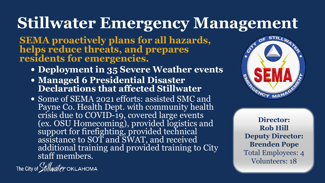### **Stillwater Emergency Management**

**SEMA proactively plans for all hazards, helps reduce threats, and prepares residents for emergencies.**

- **Deployment in 35 Severe Weather events**
- **Managed 6 Presidential Disaster Declarations that affected Stillwater**
- Some of SEMA 2021 efforts: assisted SMC and Payne Co. Health Dept. with community health<br>crisis due to COVID-19, covered large events (ex. OSU Homecoming), provided logistics and support for firefighting, provided technical assistance to SOT and SWAT, and received additional training and provided training to City staff members.



**Director: Rob Hill Deputy Director: Brenden Pope** Total Employees: 4 Volunteers: 18

The City of *Stillwater* OKLAHOMA